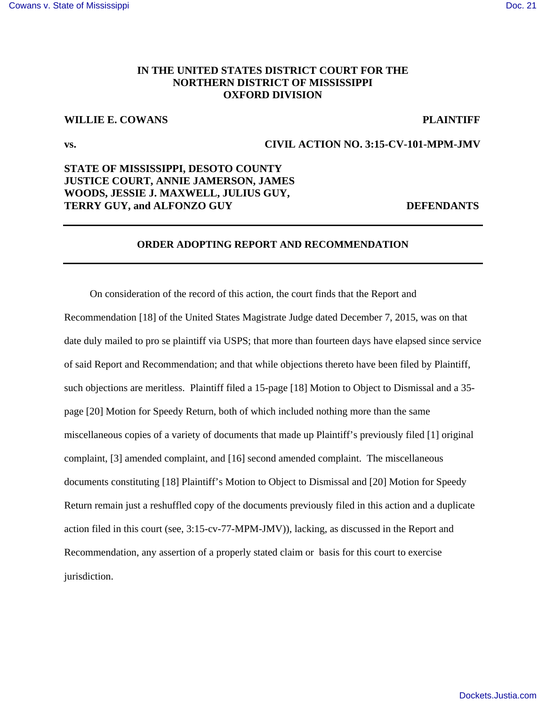### **IN THE UNITED STATES DISTRICT COURT FOR THE NORTHERN DISTRICT OF MISSISSIPPI OXFORD DIVISION**

# **WILLIE E. COWANS PLAINTIFF**

### **vs. CIVIL ACTION NO. 3:15-CV-101-MPM-JMV**

# **STATE OF MISSISSIPPI, DESOTO COUNTY JUSTICE COURT, ANNIE JAMERSON, JAMES WOODS, JESSIE J. MAXWELL, JULIUS GUY, TERRY GUY, and ALFONZO GUY DEFENDANTS**

#### **ORDER ADOPTING REPORT AND RECOMMENDATION**

 On consideration of the record of this action, the court finds that the Report and Recommendation [18] of the United States Magistrate Judge dated December 7, 2015, was on that date duly mailed to pro se plaintiff via USPS; that more than fourteen days have elapsed since service of said Report and Recommendation; and that while objections thereto have been filed by Plaintiff, such objections are meritless. Plaintiff filed a 15-page [18] Motion to Object to Dismissal and a 35 page [20] Motion for Speedy Return, both of which included nothing more than the same miscellaneous copies of a variety of documents that made up Plaintiff's previously filed [1] original complaint, [3] amended complaint, and [16] second amended complaint. The miscellaneous documents constituting [18] Plaintiff's Motion to Object to Dismissal and [20] Motion for Speedy Return remain just a reshuffled copy of the documents previously filed in this action and a duplicate action filed in this court (see, 3:15-cv-77-MPM-JMV)), lacking, as discussed in the Report and Recommendation, any assertion of a properly stated claim or basis for this court to exercise jurisdiction.